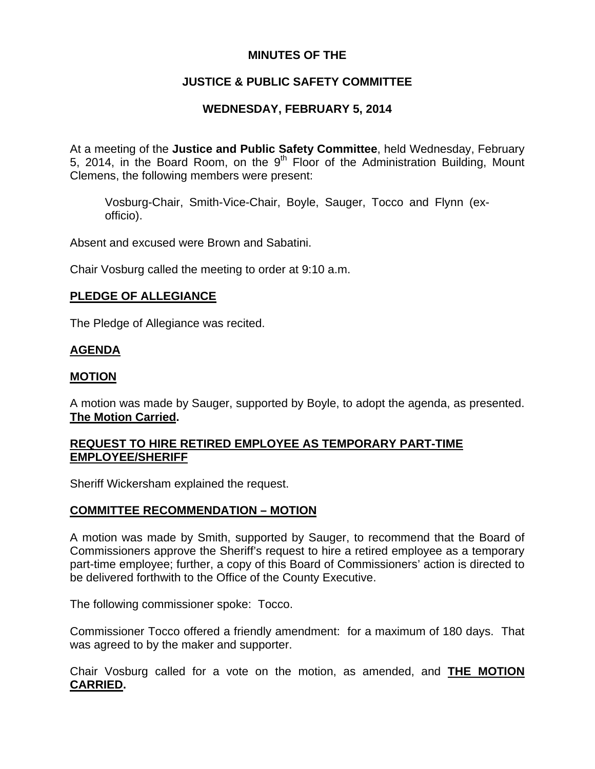# **MINUTES OF THE**

# **JUSTICE & PUBLIC SAFETY COMMITTEE**

# **WEDNESDAY, FEBRUARY 5, 2014**

At a meeting of the **Justice and Public Safety Committee**, held Wednesday, February 5, 2014, in the Board Room, on the  $9<sup>th</sup>$  Floor of the Administration Building, Mount Clemens, the following members were present:

Vosburg-Chair, Smith-Vice-Chair, Boyle, Sauger, Tocco and Flynn (exofficio).

Absent and excused were Brown and Sabatini.

Chair Vosburg called the meeting to order at 9:10 a.m.

## **PLEDGE OF ALLEGIANCE**

The Pledge of Allegiance was recited.

## **AGENDA**

### **MOTION**

A motion was made by Sauger, supported by Boyle, to adopt the agenda, as presented. **The Motion Carried.** 

## **REQUEST TO HIRE RETIRED EMPLOYEE AS TEMPORARY PART-TIME EMPLOYEE/SHERIFF**

Sheriff Wickersham explained the request.

#### **COMMITTEE RECOMMENDATION – MOTION**

A motion was made by Smith, supported by Sauger, to recommend that the Board of Commissioners approve the Sheriff's request to hire a retired employee as a temporary part-time employee; further, a copy of this Board of Commissioners' action is directed to be delivered forthwith to the Office of the County Executive.

The following commissioner spoke: Tocco.

Commissioner Tocco offered a friendly amendment: for a maximum of 180 days. That was agreed to by the maker and supporter.

Chair Vosburg called for a vote on the motion, as amended, and **THE MOTION CARRIED.**